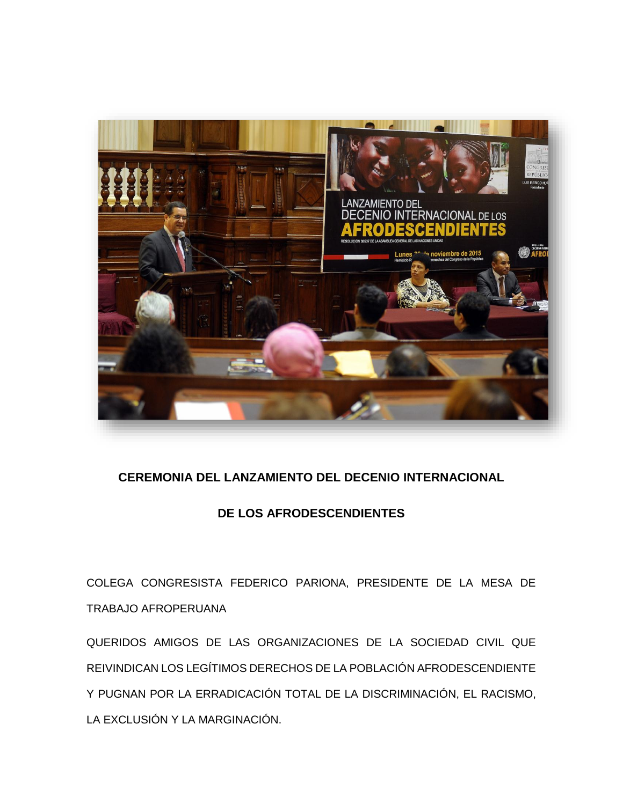

## **CEREMONIA DEL LANZAMIENTO DEL DECENIO INTERNACIONAL**

## **DE LOS AFRODESCENDIENTES**

COLEGA CONGRESISTA FEDERICO PARIONA, PRESIDENTE DE LA MESA DE TRABAJO AFROPERUANA

QUERIDOS AMIGOS DE LAS ORGANIZACIONES DE LA SOCIEDAD CIVIL QUE REIVINDICAN LOS LEGÍTIMOS DERECHOS DE LA POBLACIÓN AFRODESCENDIENTE Y PUGNAN POR LA ERRADICACIÓN TOTAL DE LA DISCRIMINACIÓN, EL RACISMO, LA EXCLUSIÓN Y LA MARGINACIÓN.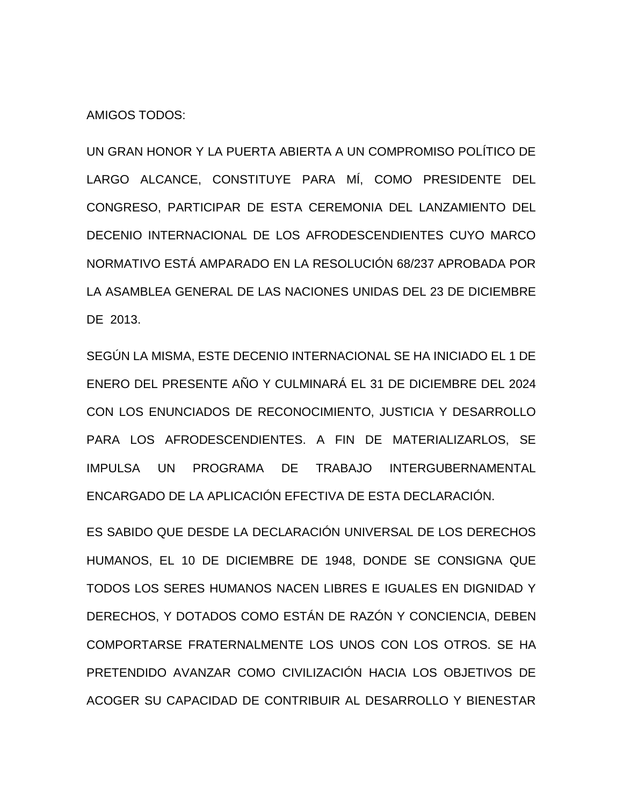AMIGOS TODOS:

UN GRAN HONOR Y LA PUERTA ABIERTA A UN COMPROMISO POLÍTICO DE LARGO ALCANCE, CONSTITUYE PARA MÍ, COMO PRESIDENTE DEL CONGRESO, PARTICIPAR DE ESTA CEREMONIA DEL LANZAMIENTO DEL DECENIO INTERNACIONAL DE LOS AFRODESCENDIENTES CUYO MARCO NORMATIVO ESTÁ AMPARADO EN LA RESOLUCIÓN 68/237 APROBADA POR LA ASAMBLEA GENERAL DE LAS NACIONES UNIDAS DEL 23 DE DICIEMBRE DE 2013.

SEGÚN LA MISMA, ESTE DECENIO INTERNACIONAL SE HA INICIADO EL 1 DE ENERO DEL PRESENTE AÑO Y CULMINARÁ EL 31 DE DICIEMBRE DEL 2024 CON LOS ENUNCIADOS DE RECONOCIMIENTO, JUSTICIA Y DESARROLLO PARA LOS AFRODESCENDIENTES. A FIN DE MATERIALIZARLOS, SE IMPULSA UN PROGRAMA DE TRABAJO INTERGUBERNAMENTAL ENCARGADO DE LA APLICACIÓN EFECTIVA DE ESTA DECLARACIÓN.

ES SABIDO QUE DESDE LA DECLARACIÓN UNIVERSAL DE LOS DERECHOS HUMANOS, EL 10 DE DICIEMBRE DE 1948, DONDE SE CONSIGNA QUE TODOS LOS SERES HUMANOS NACEN LIBRES E IGUALES EN DIGNIDAD Y DERECHOS, Y DOTADOS COMO ESTÁN DE RAZÓN Y CONCIENCIA, DEBEN COMPORTARSE FRATERNALMENTE LOS UNOS CON LOS OTROS. SE HA PRETENDIDO AVANZAR COMO CIVILIZACIÓN HACIA LOS OBJETIVOS DE ACOGER SU CAPACIDAD DE CONTRIBUIR AL DESARROLLO Y BIENESTAR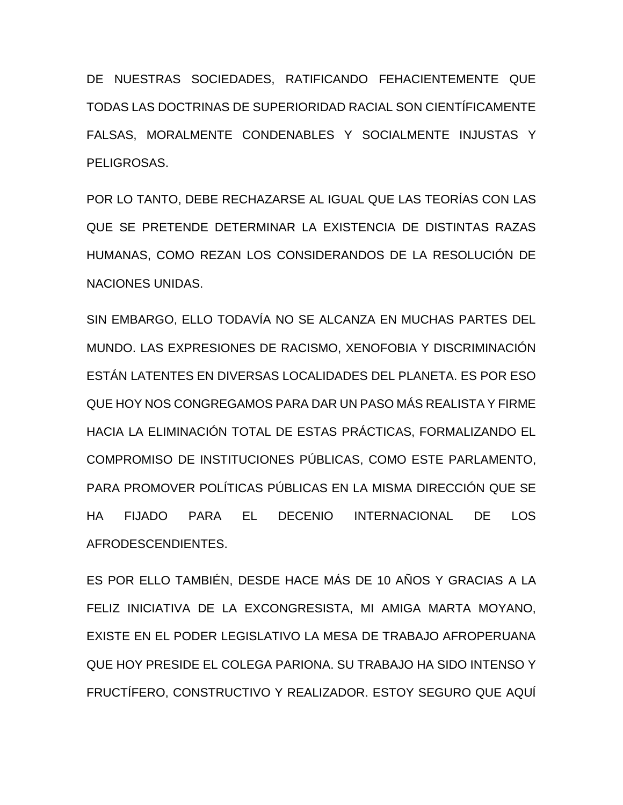DE NUESTRAS SOCIEDADES, RATIFICANDO FEHACIENTEMENTE QUE TODAS LAS DOCTRINAS DE SUPERIORIDAD RACIAL SON CIENTÍFICAMENTE FALSAS, MORALMENTE CONDENABLES Y SOCIALMENTE INJUSTAS Y PELIGROSAS.

POR LO TANTO, DEBE RECHAZARSE AL IGUAL QUE LAS TEORÍAS CON LAS QUE SE PRETENDE DETERMINAR LA EXISTENCIA DE DISTINTAS RAZAS HUMANAS, COMO REZAN LOS CONSIDERANDOS DE LA RESOLUCIÓN DE NACIONES UNIDAS.

SIN EMBARGO, ELLO TODAVÍA NO SE ALCANZA EN MUCHAS PARTES DEL MUNDO. LAS EXPRESIONES DE RACISMO, XENOFOBIA Y DISCRIMINACIÓN ESTÁN LATENTES EN DIVERSAS LOCALIDADES DEL PLANETA. ES POR ESO QUE HOY NOS CONGREGAMOS PARA DAR UN PASO MÁS REALISTA Y FIRME HACIA LA ELIMINACIÓN TOTAL DE ESTAS PRÁCTICAS, FORMALIZANDO EL COMPROMISO DE INSTITUCIONES PÚBLICAS, COMO ESTE PARLAMENTO, PARA PROMOVER POLÍTICAS PÚBLICAS EN LA MISMA DIRECCIÓN QUE SE HA FIJADO PARA EL DECENIO INTERNACIONAL DE LOS AFRODESCENDIENTES.

ES POR ELLO TAMBIÉN, DESDE HACE MÁS DE 10 AÑOS Y GRACIAS A LA FELIZ INICIATIVA DE LA EXCONGRESISTA, MI AMIGA MARTA MOYANO, EXISTE EN EL PODER LEGISLATIVO LA MESA DE TRABAJO AFROPERUANA QUE HOY PRESIDE EL COLEGA PARIONA. SU TRABAJO HA SIDO INTENSO Y FRUCTÍFERO, CONSTRUCTIVO Y REALIZADOR. ESTOY SEGURO QUE AQUÍ